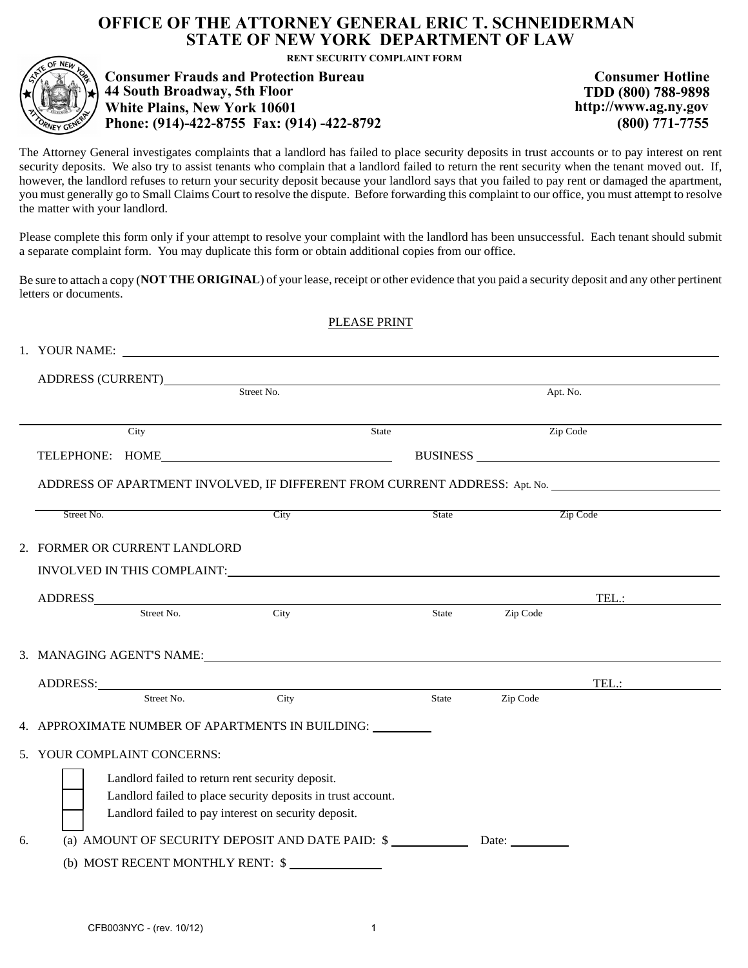## **OFFICE OF THE ATTORNEY GENERAL ERIC T. SCHNEIDERMAN STATE OF NEW YORK DEPARTMENT OF LAW**

RENT SECURITY COMPLAINT FORM<br>
Consumer Frauds and Protection Bureau<br>
44 South Broadway, 5th Floor (1001)<br>
2009) 788-9898<br>
2009) 771-7755 White Plains, New York 10601<br>
2014) -422-8792 (800) 771-7755 (800) 771-7755

The Attorney General investigates complaints that a landlord has failed to place security deposits in trust accounts or to pay interest on rent security deposits. We also try to assist tenants who complain that a landlord failed to return the rent security when the tenant moved out. If, however, the landlord refuses to return your security deposit because your landlord says that you failed to pay rent or damaged the apartment, you must generally go to Small Claims Court to resolve the dispute. Before forwarding this complaint to our office, you must attempt to resolve the matter with your landlord.

Please complete this form only if your attempt to resolve your complaint with the landlord has been unsuccessful. Each tenant should submit a separate complaint form. You may duplicate this form or obtain additional copies from our office.

Be sure to attach a copy (**NOT THE ORIGINAL**) of your lease, receipt or other evidence that you paid a security deposit and any other pertinent letters or documents.

| PLEASE PRINT                                                 |                                                                            |                                 |                                                                                                                                                                                                                                |       |          |          |  |  |
|--------------------------------------------------------------|----------------------------------------------------------------------------|---------------------------------|--------------------------------------------------------------------------------------------------------------------------------------------------------------------------------------------------------------------------------|-------|----------|----------|--|--|
|                                                              |                                                                            |                                 | 1. YOUR NAME:                                                                                                                                                                                                                  |       |          |          |  |  |
|                                                              |                                                                            |                                 |                                                                                                                                                                                                                                |       |          |          |  |  |
|                                                              |                                                                            | ADDRESS (CURRENT)<br>Street No. |                                                                                                                                                                                                                                |       | Apt. No. |          |  |  |
|                                                              |                                                                            |                                 |                                                                                                                                                                                                                                |       |          |          |  |  |
|                                                              |                                                                            | City                            |                                                                                                                                                                                                                                | State | Zip Code |          |  |  |
|                                                              |                                                                            |                                 | TELEPHONE: HOME                                                                                                                                                                                                                |       |          | BUSINESS |  |  |
|                                                              | ADDRESS OF APARTMENT INVOLVED, IF DIFFERENT FROM CURRENT ADDRESS: Apt. No. |                                 |                                                                                                                                                                                                                                |       |          |          |  |  |
|                                                              | Street No.                                                                 |                                 | City                                                                                                                                                                                                                           | State |          | Zip Code |  |  |
|                                                              |                                                                            |                                 |                                                                                                                                                                                                                                |       |          |          |  |  |
|                                                              |                                                                            | 2. FORMER OR CURRENT LANDLORD   |                                                                                                                                                                                                                                |       |          |          |  |  |
|                                                              |                                                                            |                                 |                                                                                                                                                                                                                                |       |          |          |  |  |
|                                                              |                                                                            |                                 | ADDRESS<br>Street No. City                                                                                                                                                                                                     |       |          | TEL.:    |  |  |
|                                                              |                                                                            |                                 |                                                                                                                                                                                                                                | State | Zip Code |          |  |  |
|                                                              |                                                                            |                                 |                                                                                                                                                                                                                                |       |          |          |  |  |
|                                                              |                                                                            |                                 | 3. MANAGING AGENT'S NAME:                                                                                                                                                                                                      |       |          |          |  |  |
|                                                              |                                                                            |                                 | ADDRESS: Note that the second contract of the second contract of the second contract of the second contract of the second contract of the second contract of the second contract of the second contract of the second contract |       |          | TEL.:    |  |  |
|                                                              |                                                                            | Street No.                      | City                                                                                                                                                                                                                           | State | Zip Code |          |  |  |
|                                                              |                                                                            |                                 | 4. APPROXIMATE NUMBER OF APARTMENTS IN BUILDING: University of APARTMENTS IN BUILDING:                                                                                                                                         |       |          |          |  |  |
|                                                              |                                                                            | 5. YOUR COMPLAINT CONCERNS:     |                                                                                                                                                                                                                                |       |          |          |  |  |
|                                                              | Landlord failed to return rent security deposit.                           |                                 |                                                                                                                                                                                                                                |       |          |          |  |  |
| Landlord failed to place security deposits in trust account. |                                                                            |                                 |                                                                                                                                                                                                                                |       |          |          |  |  |
|                                                              | Landlord failed to pay interest on security deposit.                       |                                 |                                                                                                                                                                                                                                |       |          |          |  |  |
| 6.                                                           |                                                                            |                                 | (a) AMOUNT OF SECURITY DEPOSIT AND DATE PAID: \$ _________________________________                                                                                                                                             |       |          |          |  |  |
|                                                              | (b) MOST RECENT MONTHLY RENT: \$                                           |                                 |                                                                                                                                                                                                                                |       |          |          |  |  |
|                                                              |                                                                            |                                 |                                                                                                                                                                                                                                |       |          |          |  |  |